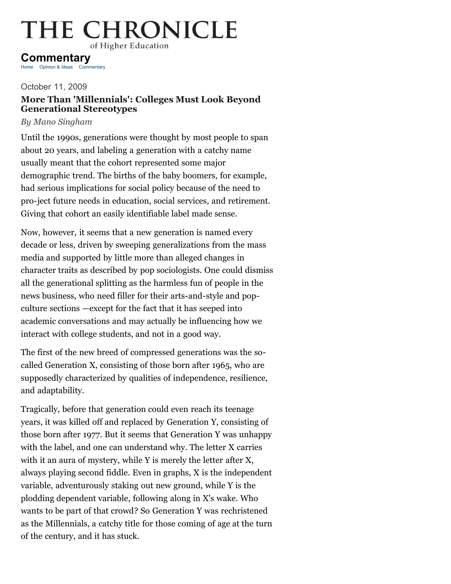## THE CHRONICLE of Higher Education

[Home](http://chronicle.com/section/Home/5/) [Opinion & Ideas](http://chronicle.com/section/Opinion-Ideas/40/) [Commentary](http://chronicle.com/section/Commentary/44/) **[Commentary](http://chronicle.com/section/Commentary/44/)**

October 11, 2009

## **More Than 'Millennials': Colleges Must Look Beyond Generational Stereotypes**

## *By Mano Singham*

Until the 1990s, generations were thought by most people to span about 20 years, and labeling a generation with a catchy name usually meant that the cohort represented some major demographic trend. The births of the baby boomers, for example, had serious implications for social policy because of the need to pro-ject future needs in education, social services, and retirement. Giving that cohort an easily identifiable label made sense.

Now, however, it seems that a new generation is named every decade or less, driven by sweeping generalizations from the mass media and supported by little more than alleged changes in character traits as described by pop sociologists. One could dismiss all the generational splitting as the harmless fun of people in the news business, who need filler for their arts-and-style and popculture sections —except for the fact that it has seeped into academic conversations and may actually be influencing how we interact with college students, and not in a good way.

The first of the new breed of compressed generations was the socalled Generation X, consisting of those born after 1965, who are supposedly characterized by qualities of independence, resilience, and adaptability.

Tragically, before that generation could even reach its teenage years, it was killed off and replaced by Generation Y, consisting of those born after 1977. But it seems that Generation Y was unhappy with the label, and one can understand why. The letter X carries with it an aura of mystery, while Y is merely the letter after X, always playing second fiddle. Even in graphs, X is the independent variable, adventurously staking out new ground, while Y is the plodding dependent variable, following along in X's wake. Who wants to be part of that crowd? So Generation Y was rechristened as the Millennials, a catchy title for those coming of age at the turn of the century, and it has stuck.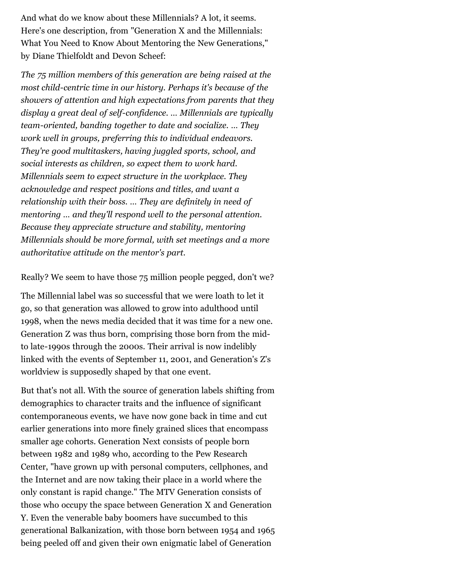And what do we know about these Millennials? A lot, it seems. Here's one description, from "Generation X and the Millennials: What You Need to Know About Mentoring the New Generations," by Diane Thielfoldt and Devon Scheef:

*The 75 million members of this generation are being raised at the most child-centric time in our history. Perhaps it's because of the showers of attention and high expectations from parents that they display a great deal of self-confidence. … Millennials are typically team-oriented, banding together to date and socialize. … They work well in groups, preferring this to individual endeavors. They're good multitaskers, having juggled sports, school, and social interests as children, so expect them to work hard. Millennials seem to expect structure in the workplace. They acknowledge and respect positions and titles, and want a relationship with their boss. … They are definitely in need of mentoring … and they'll respond well to the personal attention. Because they appreciate structure and stability, mentoring Millennials should be more formal, with set meetings and a more authoritative attitude on the mentor's part.*

Really? We seem to have those 75 million people pegged, don't we?

The Millennial label was so successful that we were loath to let it go, so that generation was allowed to grow into adulthood until 1998, when the news media decided that it was time for a new one. Generation Z was thus born, comprising those born from the midto late-1990s through the 2000s. Their arrival is now indelibly linked with the events of September 11, 2001, and Generation's Z's worldview is supposedly shaped by that one event.

But that's not all. With the source of generation labels shifting from demographics to character traits and the influence of significant contemporaneous events, we have now gone back in time and cut earlier generations into more finely grained slices that encompass smaller age cohorts. Generation Next consists of people born between 1982 and 1989 who, according to the Pew Research Center, "have grown up with personal computers, cellphones, and the Internet and are now taking their place in a world where the only constant is rapid change." The MTV Generation consists of those who occupy the space between Generation X and Generation Y. Even the venerable baby boomers have succumbed to this generational Balkanization, with those born between 1954 and 1965 being peeled off and given their own enigmatic label of Generation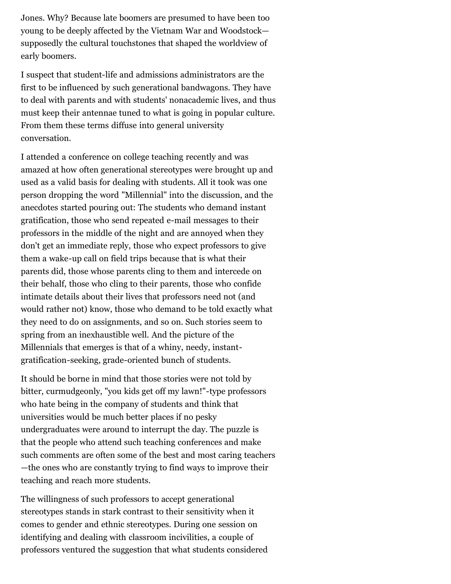Jones. Why? Because late boomers are presumed to have been too young to be deeply affected by the Vietnam War and Woodstock supposedly the cultural touchstones that shaped the worldview of early boomers.

I suspect that student-life and admissions administrators are the first to be influenced by such generational bandwagons. They have to deal with parents and with students' nonacademic lives, and thus must keep their antennae tuned to what is going in popular culture. From them these terms diffuse into general university conversation.

I attended a conference on college teaching recently and was amazed at how often generational stereotypes were brought up and used as a valid basis for dealing with students. All it took was one person dropping the word "Millennial" into the discussion, and the anecdotes started pouring out: The students who demand instant gratification, those who send repeated e-mail messages to their professors in the middle of the night and are annoyed when they don't get an immediate reply, those who expect professors to give them a wake-up call on field trips because that is what their parents did, those whose parents cling to them and intercede on their behalf, those who cling to their parents, those who confide intimate details about their lives that professors need not (and would rather not) know, those who demand to be told exactly what they need to do on assignments, and so on. Such stories seem to spring from an inexhaustible well. And the picture of the Millennials that emerges is that of a whiny, needy, instantgratification-seeking, grade-oriented bunch of students.

It should be borne in mind that those stories were not told by bitter, curmudgeonly, "you kids get off my lawn!"-type professors who hate being in the company of students and think that universities would be much better places if no pesky undergraduates were around to interrupt the day. The puzzle is that the people who attend such teaching conferences and make such comments are often some of the best and most caring teachers —the ones who are constantly trying to find ways to improve their teaching and reach more students.

The willingness of such professors to accept generational stereotypes stands in stark contrast to their sensitivity when it comes to gender and ethnic stereotypes. During one session on identifying and dealing with classroom incivilities, a couple of professors ventured the suggestion that what students considered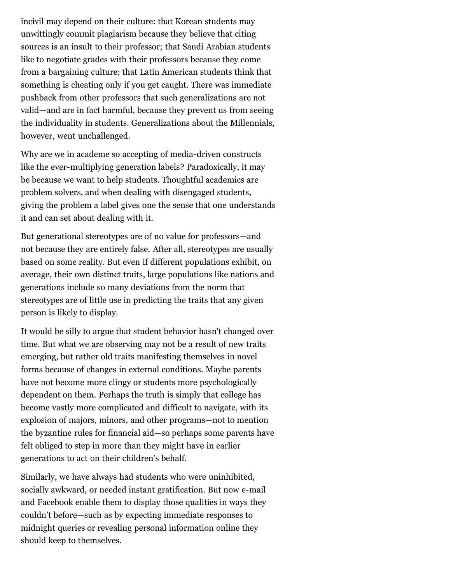incivil may depend on their culture: that Korean students may unwittingly commit plagiarism because they believe that citing sources is an insult to their professor; that Saudi Arabian students like to negotiate grades with their professors because they come from a bargaining culture; that Latin American students think that something is cheating only if you get caught. There was immediate pushback from other professors that such generalizations are not valid—and are in fact harmful, because they prevent us from seeing the individuality in students. Generalizations about the Millennials, however, went unchallenged.

Why are we in academe so accepting of media-driven constructs like the ever-multiplying generation labels? Paradoxically, it may be because we want to help students. Thoughtful academics are problem solvers, and when dealing with disengaged students, giving the problem a label gives one the sense that one understands it and can set about dealing with it.

But generational stereotypes are of no value for professors—and not because they are entirely false. After all, stereotypes are usually based on some reality. But even if different populations exhibit, on average, their own distinct traits, large populations like nations and generations include so many deviations from the norm that stereotypes are of little use in predicting the traits that any given person is likely to display.

It would be silly to argue that student behavior hasn't changed over time. But what we are observing may not be a result of new traits emerging, but rather old traits manifesting themselves in novel forms because of changes in external conditions. Maybe parents have not become more clingy or students more psychologically dependent on them. Perhaps the truth is simply that college has become vastly more complicated and difficult to navigate, with its explosion of majors, minors, and other programs—not to mention the byzantine rules for financial aid—so perhaps some parents have felt obliged to step in more than they might have in earlier generations to act on their children's behalf.

Similarly, we have always had students who were uninhibited, socially awkward, or needed instant gratification. But now e-mail and Facebook enable them to display those qualities in ways they couldn't before—such as by expecting immediate responses to midnight queries or revealing personal information online they should keep to themselves.